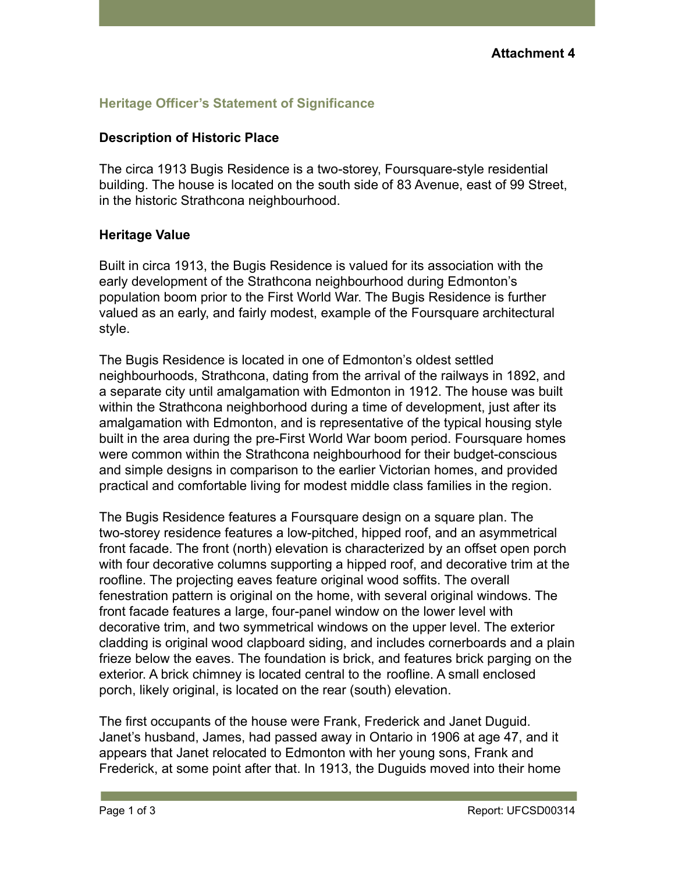## **Heritage Officer's Statement of Significance**

## **Description of Historic Place**

The circa 1913 Bugis Residence is a two-storey, Foursquare-style residential building. The house is located on the south side of 83 Avenue, east of 99 Street, in the historic Strathcona neighbourhood.

## **Heritage Value**

Built in circa 1913, the Bugis Residence is valued for its association with the early development of the Strathcona neighbourhood during Edmonton's population boom prior to the First World War. The Bugis Residence is further valued as an early, and fairly modest, example of the Foursquare architectural style.

The Bugis Residence is located in one of Edmonton's oldest settled neighbourhoods, Strathcona, dating from the arrival of the railways in 1892, and a separate city until amalgamation with Edmonton in 1912. The house was built within the Strathcona neighborhood during a time of development, just after its amalgamation with Edmonton, and is representative of the typical housing style built in the area during the pre-First World War boom period. Foursquare homes were common within the Strathcona neighbourhood for their budget-conscious and simple designs in comparison to the earlier Victorian homes, and provided practical and comfortable living for modest middle class families in the region.

The Bugis Residence features a Foursquare design on a square plan. The two-storey residence features a low-pitched, hipped roof, and an asymmetrical front facade. The front (north) elevation is characterized by an offset open porch with four decorative columns supporting a hipped roof, and decorative trim at the roofline. The projecting eaves feature original wood soffits. The overall fenestration pattern is original on the home, with several original windows. The front facade features a large, four-panel window on the lower level with decorative trim, and two symmetrical windows on the upper level. The exterior cladding is original wood clapboard siding, and includes cornerboards and a plain frieze below the eaves. The foundation is brick, and features brick parging on the exterior. A brick chimney is located central to the roofline. A small enclosed porch, likely original, is located on the rear (south) elevation.

The first occupants of the house were Frank, Frederick and Janet Duguid. Janet's husband, James, had passed away in Ontario in 1906 at age 47, and it appears that Janet relocated to Edmonton with her young sons, Frank and Frederick, at some point after that. In 1913, the Duguids moved into their home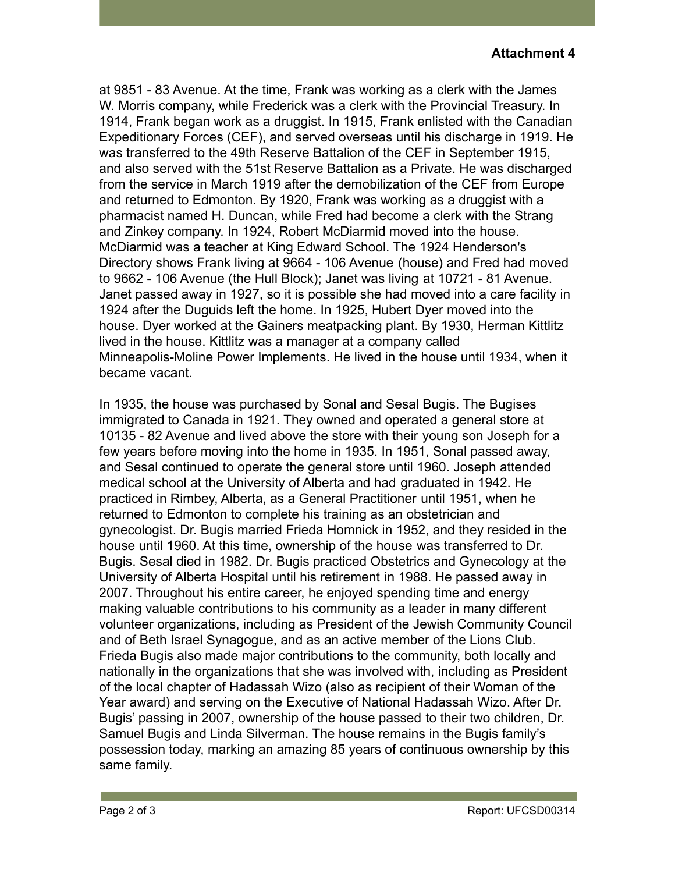at 9851 - 83 Avenue. At the time, Frank was working as a clerk with the James W. Morris company, while Frederick was a clerk with the Provincial Treasury. In 1914, Frank began work as a druggist. In 1915, Frank enlisted with the Canadian Expeditionary Forces (CEF), and served overseas until his discharge in 1919. He was transferred to the 49th Reserve Battalion of the CEF in September 1915, and also served with the 51st Reserve Battalion as a Private. He was discharged from the service in March 1919 after the demobilization of the CEF from Europe and returned to Edmonton. By 1920, Frank was working as a druggist with a pharmacist named H. Duncan, while Fred had become a clerk with the Strang and Zinkey company. In 1924, Robert McDiarmid moved into the house. McDiarmid was a teacher at King Edward School. The 1924 Henderson's Directory shows Frank living at 9664 - 106 Avenue (house) and Fred had moved to 9662 - 106 Avenue (the Hull Block); Janet was living at 10721 - 81 Avenue. Janet passed away in 1927, so it is possible she had moved into a care facility in 1924 after the Duguids left the home. In 1925, Hubert Dyer moved into the house. Dyer worked at the Gainers meatpacking plant. By 1930, Herman Kittlitz lived in the house. Kittlitz was a manager at a company called Minneapolis-Moline Power Implements. He lived in the house until 1934, when it became vacant.

In 1935, the house was purchased by Sonal and Sesal Bugis. The Bugises immigrated to Canada in 1921. They owned and operated a general store at 10135 - 82 Avenue and lived above the store with their young son Joseph for a few years before moving into the home in 1935. In 1951, Sonal passed away, and Sesal continued to operate the general store until 1960. Joseph attended medical school at the University of Alberta and had graduated in 1942. He practiced in Rimbey, Alberta, as a General Practitioner until 1951, when he returned to Edmonton to complete his training as an obstetrician and gynecologist. Dr. Bugis married Frieda Homnick in 1952, and they resided in the house until 1960. At this time, ownership of the house was transferred to Dr. Bugis. Sesal died in 1982. Dr. Bugis practiced Obstetrics and Gynecology at the University of Alberta Hospital until his retirement in 1988. He passed away in 2007. Throughout his entire career, he enjoyed spending time and energy making valuable contributions to his community as a leader in many different volunteer organizations, including as President of the Jewish Community Council and of Beth Israel Synagogue, and as an active member of the Lions Club. Frieda Bugis also made major contributions to the community, both locally and nationally in the organizations that she was involved with, including as President of the local chapter of Hadassah Wizo (also as recipient of their Woman of the Year award) and serving on the Executive of National Hadassah Wizo. After Dr. Bugis' passing in 2007, ownership of the house passed to their two children, Dr. Samuel Bugis and Linda Silverman. The house remains in the Bugis family's possession today, marking an amazing 85 years of continuous ownership by this same family.